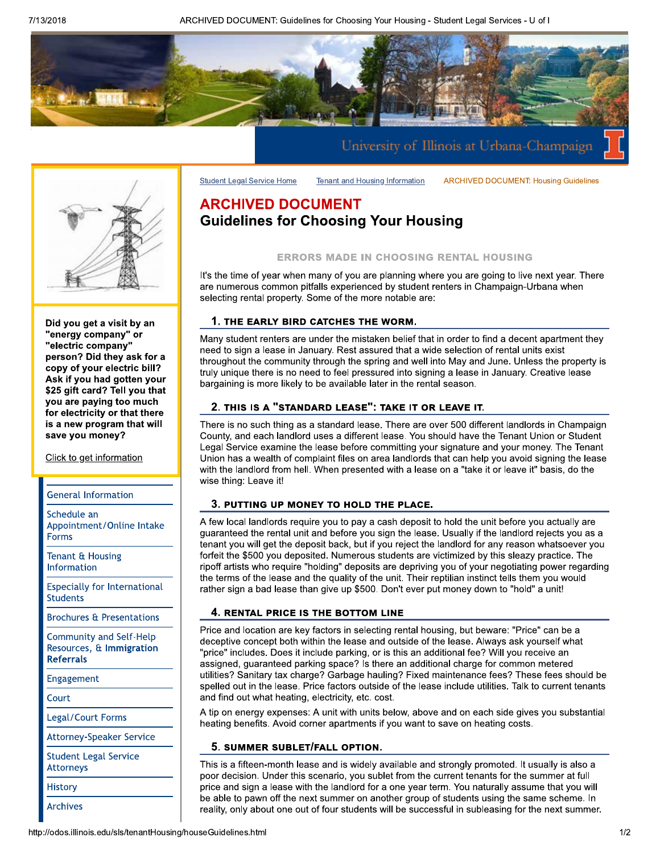ARCHIVED DOCUMENT: Guidelines for Choosing Your Housing - Student Legal Services - U of I

**Tenant and Housing Information** 





Did you get a visit by an "energy company" or "electric company" person? Did they ask for a copy of your electric bill? Ask if you had gotten your \$25 gift card? Tell you that you are paying too much for electricity or that there is a new program that will save you money?

Click to get information

#### **General Information**

Schedule an Appointment/Online Intake **Forms** 

Tenant & Housing Information

**Especially for International Students** 

**Brochures & Presentations** 

**Community and Self-Help** Resources, & Immigration **Referrals** 

Engagement

Court

Legal/Court Forms

**Attorney-Speaker Service** 

**Student Legal Service Attorneys** 

**History** 

**Archives** 

# **ARCHIVED DOCUMENT Guidelines for Choosing Your Housing**

**Student Legal Service Home** 

#### **ERRORS MADE IN CHOOSING RENTAL HOUSING**

**ARCHIVED DOCUMENT: Housing Guidelines** 

It's the time of year when many of you are planning where you are going to live next year. There are numerous common pitfalls experienced by student renters in Champaign-Urbana when selecting rental property. Some of the more notable are:

#### 1. THE EARLY BIRD CATCHES THE WORM.

Many student renters are under the mistaken belief that in order to find a decent apartment they need to sign a lease in January. Rest assured that a wide selection of rental units exist throughout the community through the spring and well into May and June. Unless the property is truly unique there is no need to feel pressured into signing a lease in January. Creative lease bargaining is more likely to be available later in the rental season.

#### 2. THIS IS A "STANDARD LEASE": TAKE IT OR LEAVE IT.

There is no such thing as a standard lease. There are over 500 different landlords in Champaign County, and each landlord uses a different lease. You should have the Tenant Union or Student Legal Service examine the lease before committing your signature and your money. The Tenant Union has a wealth of complaint files on area landlords that can help you avoid signing the lease with the landlord from hell. When presented with a lease on a "take it or leave it" basis, do the wise thing: Leave it!

#### 3. PUTTING UP MONEY TO HOLD THE PLACE.

A few local landlords require you to pay a cash deposit to hold the unit before you actually are guaranteed the rental unit and before you sign the lease. Usually if the landlord rejects you as a tenant you will get the deposit back, but if you reject the landlord for any reason whatsoever you forfeit the \$500 you deposited. Numerous students are victimized by this sleazy practice. The ripoff artists who require "holding" deposits are depriving you of your negotiating power regarding the terms of the lease and the quality of the unit. Their reptilian instinct tells them you would rather sign a bad lease than give up \$500. Don't ever put money down to "hold" a unit!

#### 4. RENTAL PRICE IS THE BOTTOM LINE

Price and location are key factors in selecting rental housing, but beware: "Price" can be a deceptive concept both within the lease and outside of the lease. Always ask yourself what "price" includes. Does it include parking, or is this an additional fee? Will you receive an assigned, guaranteed parking space? Is there an additional charge for common metered utilities? Sanitary tax charge? Garbage hauling? Fixed maintenance fees? These fees should be spelled out in the lease. Price factors outside of the lease include utilities. Talk to current tenants and find out what heating, electricity, etc. cost.

A tip on energy expenses: A unit with units below, above and on each side gives you substantial heating benefits. Avoid corner apartments if you want to save on heating costs.

#### 5. SUMMER SUBLET/FALL OPTION.

This is a fifteen-month lease and is widely available and strongly promoted. It usually is also a poor decision. Under this scenario, you sublet from the current tenants for the summer at full price and sign a lease with the landlord for a one year term. You naturally assume that you will be able to pawn off the next summer on another group of students using the same scheme. In reality, only about one out of four students will be successful in subleasing for the next summer.